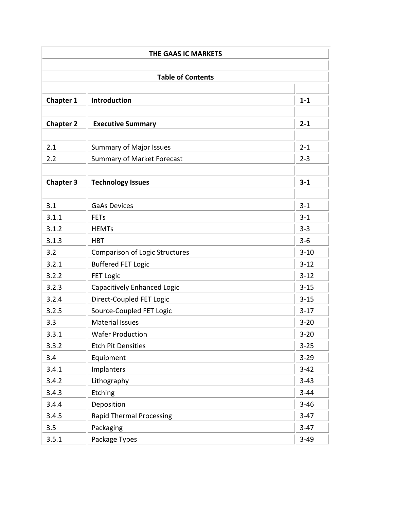| THE GAAS IC MARKETS |                                       |          |  |  |
|---------------------|---------------------------------------|----------|--|--|
|                     |                                       |          |  |  |
|                     |                                       |          |  |  |
| <b>Chapter 1</b>    | Introduction                          | $1 - 1$  |  |  |
| <b>Chapter 2</b>    | <b>Executive Summary</b>              | $2 - 1$  |  |  |
|                     |                                       |          |  |  |
| 2.1                 | <b>Summary of Major Issues</b>        | $2 - 1$  |  |  |
| 2.2                 | <b>Summary of Market Forecast</b>     | $2 - 3$  |  |  |
| <b>Chapter 3</b>    | <b>Technology Issues</b>              | $3 - 1$  |  |  |
|                     |                                       |          |  |  |
| 3.1                 | <b>GaAs Devices</b>                   | $3 - 1$  |  |  |
| 3.1.1               | <b>FETs</b>                           | $3 - 1$  |  |  |
| 3.1.2               | <b>HEMTs</b>                          | $3 - 3$  |  |  |
| 3.1.3               | <b>HBT</b>                            | $3 - 6$  |  |  |
| 3.2                 | <b>Comparison of Logic Structures</b> | $3 - 10$ |  |  |
| 3.2.1               | <b>Buffered FET Logic</b>             | $3 - 12$ |  |  |
| 3.2.2               | <b>FET Logic</b>                      | $3 - 12$ |  |  |
| 3.2.3               | Capacitively Enhanced Logic           | $3 - 15$ |  |  |
| 3.2.4               | Direct-Coupled FET Logic              | $3 - 15$ |  |  |
| 3.2.5               | Source-Coupled FET Logic              | $3-17$   |  |  |
| 3.3                 | <b>Material Issues</b>                | $3 - 20$ |  |  |
| 3.3.1               | <b>Wafer Production</b>               | $3 - 20$ |  |  |
| 3.3.2               | <b>Etch Pit Densities</b>             | $3 - 25$ |  |  |
| 3.4                 | Equipment                             | $3 - 29$ |  |  |
| 3.4.1               | Implanters                            | $3-42$   |  |  |
| 3.4.2               | Lithography                           | $3 - 43$ |  |  |
| 3.4.3               | Etching                               | $3 - 44$ |  |  |
| 3.4.4               | Deposition                            | $3 - 46$ |  |  |
| 3.4.5               | <b>Rapid Thermal Processing</b>       | $3-47$   |  |  |
| 3.5                 | Packaging                             | $3-47$   |  |  |
| 3.5.1               | Package Types                         | $3-49$   |  |  |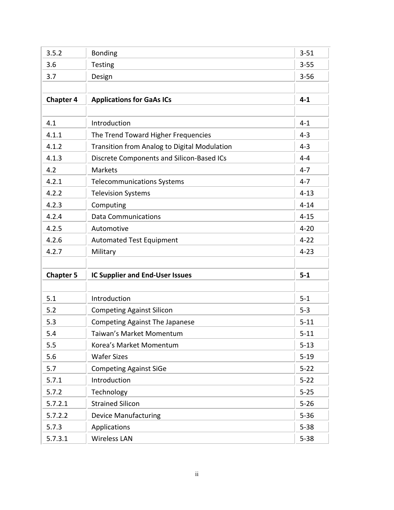| 3.5.2            | <b>Bonding</b>                               | $3 - 51$ |
|------------------|----------------------------------------------|----------|
| 3.6              | <b>Testing</b>                               | $3 - 55$ |
| 3.7              | Design                                       | $3 - 56$ |
|                  |                                              |          |
| <b>Chapter 4</b> | <b>Applications for GaAs ICs</b>             | $4 - 1$  |
|                  |                                              |          |
| 4.1              | Introduction                                 | $4 - 1$  |
| 4.1.1            | The Trend Toward Higher Frequencies          | $4 - 3$  |
| 4.1.2            | Transition from Analog to Digital Modulation | $4 - 3$  |
| 4.1.3            | Discrete Components and Silicon-Based ICs    | $4 - 4$  |
| 4.2              | <b>Markets</b>                               | $4 - 7$  |
| 4.2.1            | <b>Telecommunications Systems</b>            | $4 - 7$  |
| 4.2.2            | <b>Television Systems</b>                    | $4 - 13$ |
| 4.2.3            | Computing                                    | $4 - 14$ |
| 4.2.4            | <b>Data Communications</b>                   | $4 - 15$ |
| 4.2.5            | Automotive                                   | $4 - 20$ |
| 4.2.6            | <b>Automated Test Equipment</b>              | $4 - 22$ |
| 4.2.7            | Military                                     | $4 - 23$ |
|                  |                                              |          |
| <b>Chapter 5</b> | <b>IC Supplier and End-User Issues</b>       | $5-1$    |
|                  |                                              |          |
| 5.1              | Introduction                                 | $5 - 1$  |
| 5.2              | <b>Competing Against Silicon</b>             | $5 - 3$  |
| 5.3              | <b>Competing Against The Japanese</b>        | $5 - 11$ |
| 5.4              | Taiwan's Market Momentum                     | $5 - 11$ |
| 5.5              | Korea's Market Momentum                      | $5 - 13$ |
| 5.6              | <b>Wafer Sizes</b>                           | $5 - 19$ |
| 5.7              | <b>Competing Against SiGe</b>                | $5 - 22$ |
| 5.7.1            | Introduction                                 | $5 - 22$ |
| 5.7.2            | Technology                                   | $5 - 25$ |
| 5.7.2.1          | <b>Strained Silicon</b>                      | $5 - 26$ |
| 5.7.2.2          | <b>Device Manufacturing</b>                  | $5 - 36$ |
| 5.7.3            | Applications                                 | $5 - 38$ |
|                  |                                              |          |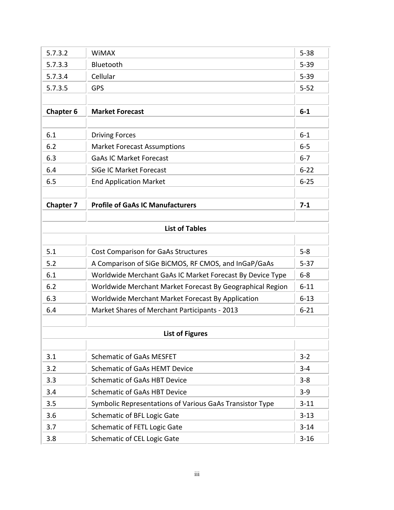| 5.7.3.2          | <b>WiMAX</b>                                              | $5 - 38$ |
|------------------|-----------------------------------------------------------|----------|
|                  |                                                           |          |
| 5.7.3.3          | Bluetooth                                                 | $5 - 39$ |
| 5.7.3.4          | Cellular                                                  | $5 - 39$ |
| 5.7.3.5          | <b>GPS</b>                                                | $5 - 52$ |
|                  |                                                           |          |
| <b>Chapter 6</b> | <b>Market Forecast</b>                                    | $6-1$    |
|                  |                                                           |          |
| 6.1              | <b>Driving Forces</b>                                     | $6-1$    |
| 6.2              | <b>Market Forecast Assumptions</b>                        | $6 - 5$  |
| 6.3              | <b>GaAs IC Market Forecast</b>                            | $6 - 7$  |
| 6.4              | SiGe IC Market Forecast                                   | $6 - 22$ |
| 6.5              | <b>End Application Market</b>                             | $6 - 25$ |
|                  |                                                           |          |
| <b>Chapter 7</b> | <b>Profile of GaAs IC Manufacturers</b>                   | $7-1$    |
|                  |                                                           |          |
|                  | <b>List of Tables</b>                                     |          |
|                  |                                                           |          |
| 5.1              | <b>Cost Comparison for GaAs Structures</b>                | $5 - 8$  |
| 5.2              | A Comparison of SiGe BiCMOS, RF CMOS, and InGaP/GaAs      | $5 - 37$ |
| 6.1              | Worldwide Merchant GaAs IC Market Forecast By Device Type | $6-8$    |
| 6.2              | Worldwide Merchant Market Forecast By Geographical Region | $6 - 11$ |
| 6.3              | Worldwide Merchant Market Forecast By Application         | $6 - 13$ |
| 6.4              | Market Shares of Merchant Participants - 2013             | $6 - 21$ |
|                  |                                                           |          |
|                  | <b>List of Figures</b>                                    |          |
|                  |                                                           |          |
| 3.1              | <b>Schematic of GaAs MESFET</b>                           | $3 - 2$  |
| 3.2              | <b>Schematic of GaAs HEMT Device</b>                      | $3 - 4$  |
| 3.3              | <b>Schematic of GaAs HBT Device</b>                       | $3 - 8$  |
| 3.4              | <b>Schematic of GaAs HBT Device</b>                       | $3-9$    |
| 3.5              | Symbolic Representations of Various GaAs Transistor Type  | $3 - 11$ |
| 3.6              | Schematic of BFL Logic Gate                               | $3 - 13$ |
| 3.7              | Schematic of FETL Logic Gate                              | $3 - 14$ |
| 3.8              | Schematic of CEL Logic Gate                               | $3 - 16$ |